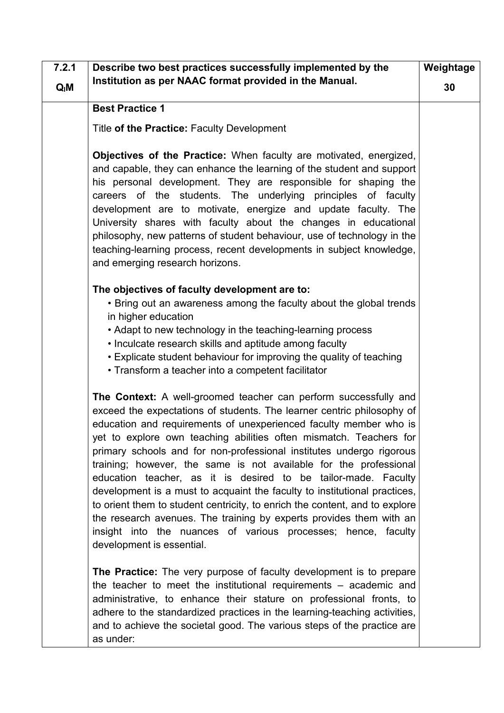| 7.2.1  | Describe two best practices successfully implemented by the                                                                                                                                                                                                                                                                                                                                                                                                                                                                                                                                                                                                                                                                                                                                                                           | Weightage |
|--------|---------------------------------------------------------------------------------------------------------------------------------------------------------------------------------------------------------------------------------------------------------------------------------------------------------------------------------------------------------------------------------------------------------------------------------------------------------------------------------------------------------------------------------------------------------------------------------------------------------------------------------------------------------------------------------------------------------------------------------------------------------------------------------------------------------------------------------------|-----------|
| $Q_iM$ | Institution as per NAAC format provided in the Manual.                                                                                                                                                                                                                                                                                                                                                                                                                                                                                                                                                                                                                                                                                                                                                                                | 30        |
|        | <b>Best Practice 1</b>                                                                                                                                                                                                                                                                                                                                                                                                                                                                                                                                                                                                                                                                                                                                                                                                                |           |
|        | Title of the Practice: Faculty Development                                                                                                                                                                                                                                                                                                                                                                                                                                                                                                                                                                                                                                                                                                                                                                                            |           |
|        | <b>Objectives of the Practice:</b> When faculty are motivated, energized,<br>and capable, they can enhance the learning of the student and support<br>his personal development. They are responsible for shaping the<br>careers of the students. The underlying principles of faculty<br>development are to motivate, energize and update faculty. The<br>University shares with faculty about the changes in educational<br>philosophy, new patterns of student behaviour, use of technology in the<br>teaching-learning process, recent developments in subject knowledge,<br>and emerging research horizons.                                                                                                                                                                                                                       |           |
|        | The objectives of faculty development are to:<br>• Bring out an awareness among the faculty about the global trends<br>in higher education<br>• Adapt to new technology in the teaching-learning process<br>• Inculcate research skills and aptitude among faculty<br>• Explicate student behaviour for improving the quality of teaching<br>• Transform a teacher into a competent facilitator                                                                                                                                                                                                                                                                                                                                                                                                                                       |           |
|        | The Context: A well-groomed teacher can perform successfully and<br>exceed the expectations of students. The learner centric philosophy of<br>education and requirements of unexperienced faculty member who is<br>yet to explore own teaching abilities often mismatch. Teachers for<br>primary schools and for non-professional institutes undergo rigorous<br>training; however, the same is not available for the professional<br>education teacher, as it is desired to be tailor-made. Faculty<br>development is a must to acquaint the faculty to institutional practices,<br>to orient them to student centricity, to enrich the content, and to explore<br>the research avenues. The training by experts provides them with an<br>insight into the nuances of various processes; hence, faculty<br>development is essential. |           |
|        | The Practice: The very purpose of faculty development is to prepare<br>the teacher to meet the institutional requirements $-$ academic and<br>administrative, to enhance their stature on professional fronts, to<br>adhere to the standardized practices in the learning-teaching activities,<br>and to achieve the societal good. The various steps of the practice are<br>as under:                                                                                                                                                                                                                                                                                                                                                                                                                                                |           |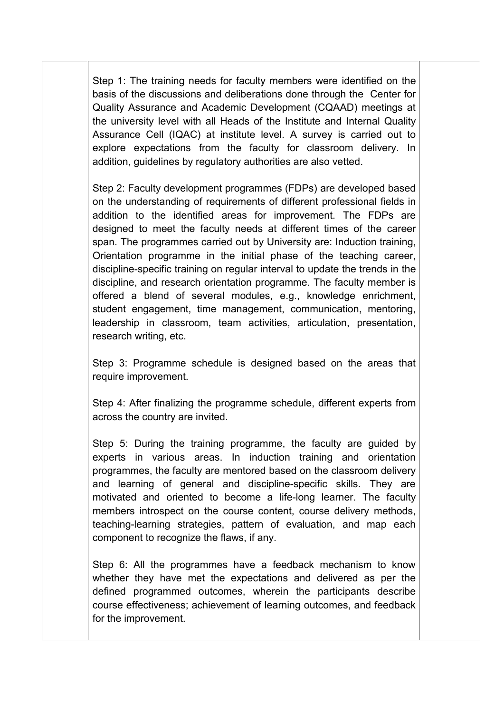Step 1: The training needs for faculty members were identified on the basis of the discussions and deliberations done through the Center for Quality Assurance and Academic Development (CQAAD) meetings at the university level with all Heads of the Institute and Internal Quality Assurance Cell (IQAC) at institute level. A survey is carried out to explore expectations from the faculty for classroom delivery. In addition, guidelines by regulatory authorities are also vetted.

Step 2: Faculty development programmes (FDPs) are developed based on the understanding of requirements of different professional fields in addition to the identified areas for improvement. The FDPs are designed to meet the faculty needs at different times of the career span. The programmes carried out by University are: Induction training, Orientation programme in the initial phase of the teaching career, discipline-specific training on regular interval to update the trends in the discipline, and research orientation programme. The faculty member is offered a blend of several modules, e.g., knowledge enrichment, student engagement, time management, communication, mentoring, leadership in classroom, team activities, articulation, presentation,

research writing, etc.<br>Step 3: Programme schedule is designed based on the areas that require improvement.

Step 4: After finalizing the programme schedule, different experts from across the country are invited.

Step 5: During the training programme, the faculty are guided by experts in various areas. In induction training and orientation programmes, the faculty are mentored based on the classroom delivery and learning of general and discipline-specific skills. They are motivated and oriented to become a life-long learner. The faculty members introspect on the course content, course delivery methods, teaching-learning strategies, pattern of evaluation, and map each component to recognize the flaws, if any.

Step 6: All the programmes have a feedback mechanism to know whether they have met the expectations and delivered as per the defined programmed outcomes, wherein the participants describe course effectiveness; achievement of learning outcomes, and feedback for the improvement.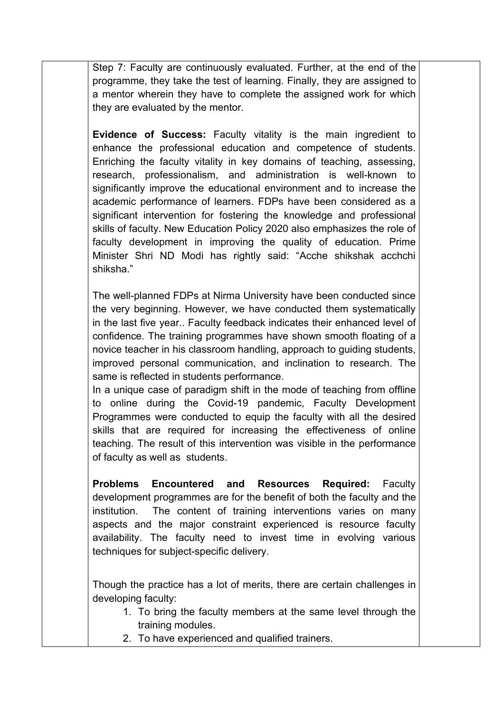Step 7: Faculty are continuously evaluated. Further, at the end of the programme, they take the test of learning. Finally, they are assigned to a mentor wherein they have to complete the assigned work for which they are evaluated by the mentor.

**Evidence of Success:** Faculty vitality is the main ingredient to enhance the professional education and competence of students. Enriching the faculty vitality in key domains of teaching, assessing, research, professionalism, and administration is well-known to significantly improve the educational environment and to increase the academic performance of learners. FDPs have been considered as a significant intervention for fostering the knowledge and professional skills of faculty. New Education Policy 2020 also emphasizes the role of faculty development in improving the quality of education. Prime Minister Shri ND Modi has rightly said: "Acche shikshak acchchi shiksha."

The well-planned FDPs at Nirma University have been conducted since the very beginning. However, we have conducted them systematically in the last five year.. Faculty feedback indicates their enhanced level of confidence. The training programmes have shown smooth floating of a novice teacher in his classroom handling, approach to guiding students, improved personal communication, and inclination to research. The same is reflected in students performance.

In a unique case of paradigm shift in the mode of teaching from offline to online during the Covid-19 pandemic, Faculty Development Programmes were conducted to equip the faculty with all the desired skills that are required for increasing the effectiveness of online teaching. The result of this intervention was visible in the performance of faculty as well as students.

**Problems Encountered and Resources Required:** Faculty development programmes are for the benefit of both the faculty and the institution. The content of training interventions varies on many aspects and the major constraint experienced is resource faculty availability. The faculty need to invest time in evolving various techniques for subject-specific delivery.

Though the practice has a lot of merits, there are certain challenges in developing faculty:

- 1. To bring the faculty members at the same level through the training modules.
- 2. To have experienced and qualified trainers.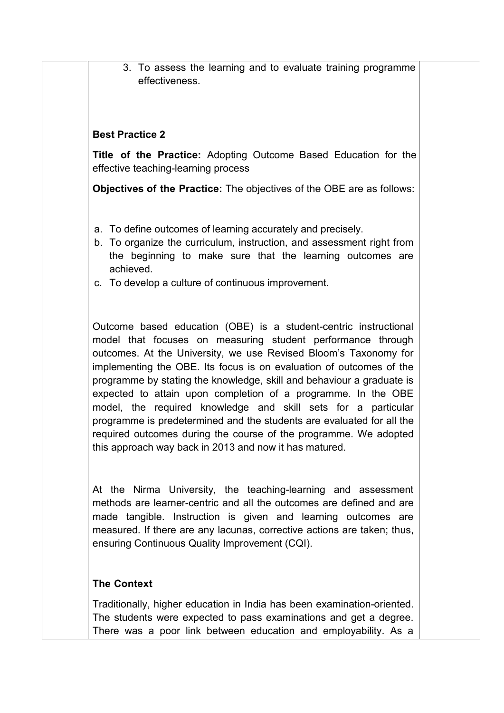3. To assess the learning and to evaluate training programme effectiveness.

## **Best Practice 2**

**Title of the Practice:** Adopting Outcome Based Education for the effective teaching-learning process

**Objectives of the Practice:** The objectives of the OBE are asfollows:

- a. To define outcomes of learning accurately and precisely.
- b. To organize the curriculum, instruction, and assessment right from the beginning to make sure that the learning outcomes are achieved.
- c. To develop a culture of continuous improvement.

Outcome based education (OBE) is a student-centric instructional model that focuses on measuring student performance through outcomes. At the University, we use Revised Bloom's Taxonomy for implementing the OBE. Its focus is on evaluation of outcomes of the programme by stating the knowledge, skill and behaviour a graduate is expected to attain upon completion of a programme. In the OBE model, the required knowledge and skill sets for a particular programme is predetermined and the students are evaluated for all the required outcomes during the course of the programme. We adopted

this approach way back in 2013 and now it has matured.<br>At the Nirma University, the teaching-learning and assessment methods are learner-centric and all the outcomes are defined and are made tangible. Instruction is given and learning outcomes are measured. If there are any lacunas, corrective actions are taken; thus, ensuring Continuous Quality Improvement (CQI).

## **The Context**

Traditionally, higher education in India has been examination-oriented. The students were expected to pass examinations and get a degree. There was a poor link between education and employability. As a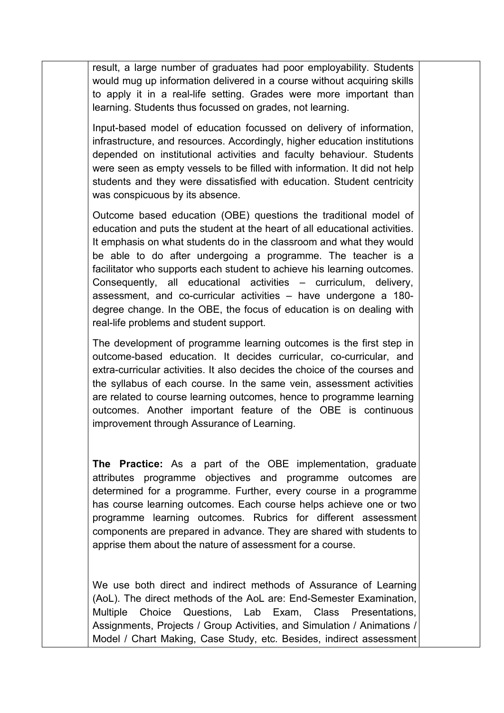result, a large number of graduates had poor employability. Students would mug up information delivered in a course without acquiring skills to apply it in a real-life setting. Grades were more important than learning. Students thus focussed on grades, not learning.

Input-based model of education focussed on delivery of information, infrastructure, and resources. Accordingly, higher education institutions depended on institutional activities and faculty behaviour. Students were seen as empty vessels to be filled with information. It did not help students and they were dissatisfied with education. Student centricity was conspicuous by its absence.

Outcome based education (OBE) questions the traditional model of education and puts the student at the heart of all educational activities. It emphasis on what students do in the classroom and what they would be able to do after undergoing a programme. The teacher is a facilitator who supports each student to achieve his learning outcomes. Consequently, all educational activities – curriculum, delivery, assessment, and co-curricular activities – have undergone a 180 degree change. In the OBE, the focus of education is on dealing with real-life problems and student support.

The development of programme learning outcomes is the first step in outcome-based education. It decides curricular, co-curricular, and extra-curricular activities. It also decides the choice of the courses and the syllabus of each course. In the same vein, assessment activities are related to course learning outcomes, hence to programme learning outcomes. Another important feature of the OBE is continuous improvement through Assurance of Learning.

**The Practice:** As a part of the OBE implementation, graduate attributes programme objectives and programme outcomes are determined for a programme. Further, every course in a programme has course learning outcomes. Each course helps achieve one or two programme learning outcomes. Rubrics for different assessment components are prepared in advance. They are shared with students to apprise them about the nature of assessment for a course.

We use both direct and indirect methods of Assurance of Learning (AoL). The direct methods of the AoL are: End-Semester Examination, Multiple Choice Questions, Lab Exam, Class Presentations, Assignments, Projects / Group Activities, and Simulation / Animations / Model / Chart Making, Case Study, etc. Besides, indirect assessment